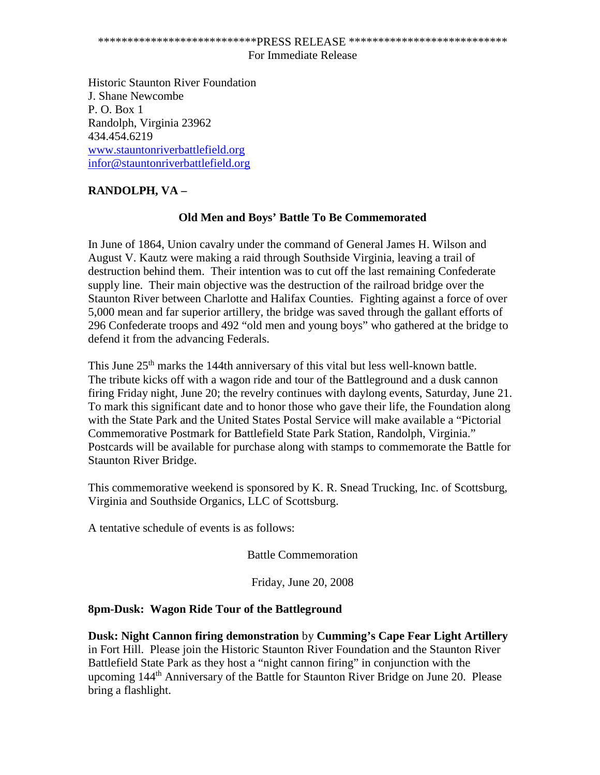# \*\*\*\*\*\*\*\*\*\*\*\*\*\*\*\*\*\*\*\*\*\*\*\*\*\*\*PRESS RELEASE \*\*\*\*\*\*\*\*\*\*\*\*\*\*\*\*\*\*\*\*\*\*\*\*\*\*\*

#### For Immediate Release

Historic Staunton River Foundation J. Shane Newcombe P. O. Box 1 Randolph, Virginia 23962 434.454.6219 [www.stauntonriverbattlefield.org](http://www.stauntonriverbattlefield.org/) [infor@stauntonriverbattlefield.org](mailto:infor@stauntonriverbattlefield.org)

# **RANDOLPH, VA –**

## **Old Men and Boys' Battle To Be Commemorated**

In June of 1864, Union cavalry under the command of General James H. Wilson and August V. Kautz were making a raid through Southside Virginia, leaving a trail of destruction behind them. Their intention was to cut off the last remaining Confederate supply line. Their main objective was the destruction of the railroad bridge over the Staunton River between Charlotte and Halifax Counties. Fighting against a force of over 5,000 mean and far superior artillery, the bridge was saved through the gallant efforts of 296 Confederate troops and 492 "old men and young boys" who gathered at the bridge to defend it from the advancing Federals.

This June 25<sup>th</sup> marks the 144th anniversary of this vital but less well-known battle. The tribute kicks off with a wagon ride and tour of the Battleground and a dusk cannon firing Friday night, June 20; the revelry continues with daylong events, Saturday, June 21. To mark this significant date and to honor those who gave their life, the Foundation along with the State Park and the United States Postal Service will make available a "Pictorial Commemorative Postmark for Battlefield State Park Station, Randolph, Virginia." Postcards will be available for purchase along with stamps to commemorate the Battle for Staunton River Bridge.

This commemorative weekend is sponsored by K. R. Snead Trucking, Inc. of Scottsburg, Virginia and Southside Organics, LLC of Scottsburg.

A tentative schedule of events is as follows:

Battle Commemoration

Friday, June 20, 2008

## **8pm-Dusk: Wagon Ride Tour of the Battleground**

**Dusk: Night Cannon firing demonstration** by **Cumming's Cape Fear Light Artillery** in Fort Hill. Please join the Historic Staunton River Foundation and the Staunton River Battlefield State Park as they host a "night cannon firing" in conjunction with the upcoming 144th Anniversary of the Battle for Staunton River Bridge on June 20. Please bring a flashlight.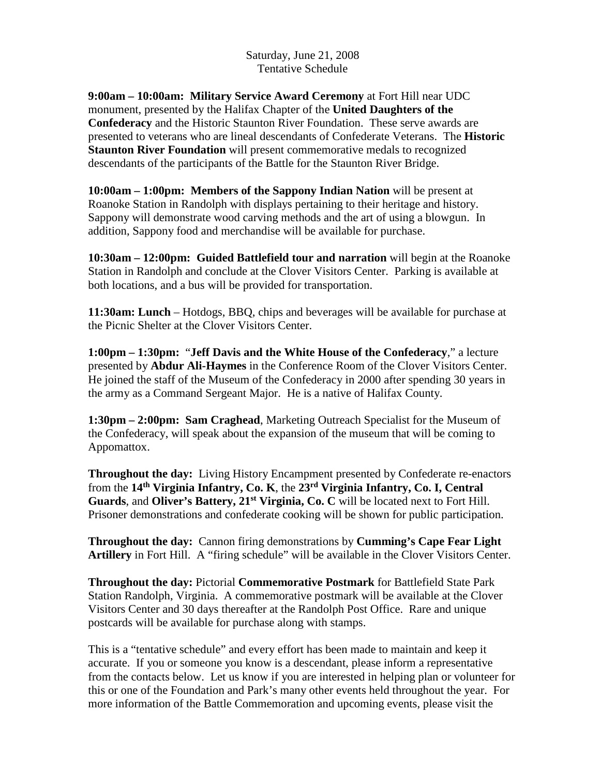Saturday, June 21, 2008 Tentative Schedule

**9:00am – 10:00am: Military Service Award Ceremony** at Fort Hill near UDC monument, presented by the Halifax Chapter of the **United Daughters of the Confederacy** and the Historic Staunton River Foundation. These serve awards are presented to veterans who are lineal descendants of Confederate Veterans. The **Historic Staunton River Foundation** will present commemorative medals to recognized descendants of the participants of the Battle for the Staunton River Bridge.

**10:00am – 1:00pm: Members of the Sappony Indian Nation** will be present at Roanoke Station in Randolph with displays pertaining to their heritage and history. Sappony will demonstrate wood carving methods and the art of using a blowgun. In addition, Sappony food and merchandise will be available for purchase.

**10:30am – 12:00pm: Guided Battlefield tour and narration** will begin at the Roanoke Station in Randolph and conclude at the Clover Visitors Center. Parking is available at both locations, and a bus will be provided for transportation.

**11:30am: Lunch** – Hotdogs, BBQ, chips and beverages will be available for purchase at the Picnic Shelter at the Clover Visitors Center.

**1:00pm – 1:30pm:** "**Jeff Davis and the White House of the Confederacy**," a lecture presented by **Abdur Ali-Haymes** in the Conference Room of the Clover Visitors Center. He joined the staff of the Museum of the Confederacy in 2000 after spending 30 years in the army as a Command Sergeant Major. He is a native of Halifax County.

**1:30pm – 2:00pm: Sam Craghead**, Marketing Outreach Specialist for the Museum of the Confederacy, will speak about the expansion of the museum that will be coming to Appomattox.

**Throughout the day:** Living History Encampment presented by Confederate re-enactors from the **14th Virginia Infantry, Co. K**, the **23rd Virginia Infantry, Co. I, Central Guards**, and **Oliver's Battery, 21st Virginia, Co. C** will be located next to Fort Hill. Prisoner demonstrations and confederate cooking will be shown for public participation.

**Throughout the day:** Cannon firing demonstrations by **Cumming's Cape Fear Light Artillery** in Fort Hill. A "firing schedule" will be available in the Clover Visitors Center.

**Throughout the day:** Pictorial **Commemorative Postmark** for Battlefield State Park Station Randolph, Virginia. A commemorative postmark will be available at the Clover Visitors Center and 30 days thereafter at the Randolph Post Office. Rare and unique postcards will be available for purchase along with stamps.

This is a "tentative schedule" and every effort has been made to maintain and keep it accurate. If you or someone you know is a descendant, please inform a representative from the contacts below. Let us know if you are interested in helping plan or volunteer for this or one of the Foundation and Park's many other events held throughout the year. For more information of the Battle Commemoration and upcoming events, please visit the